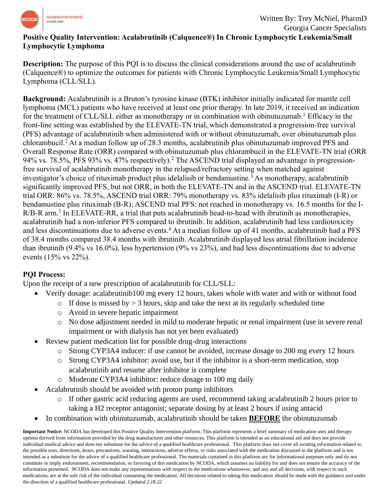

# **Positive Quality Intervention: Acalabrutinib (Calquence®) In Chronic Lymphocytic Leukemia/Small Lymphocytic Lymphoma**

**Description:** The purpose of this PQI is to discuss the clinical considerations around the use of acalabrutinib (Calquence®) to optimize the outcomes for patients with Chronic Lymphocytic Leukemia/Small Lymphocytic Lymphoma (CLL/SLL).

**Background:** Acalabrutinib is a Bruton's tyrosine kinase (BTK) inhibitor initially indicated for mantle cell lymphoma (MCL) patients who have received at least one prior therapy. In late 2019, it received an indication for the treatment of CLL/SLL either as monotherapy or in combination with obinutuzumab.<sup>1</sup> Efficacy in the front-line setting was established by the ELEVATE-TN trial, which demonstrated a progression-free survival (PFS) advantage of acalabrutinib when administered with or without obinutuzumab, over obinutuzumab plus chlorambucil.<sup>2</sup> At a median follow up of 28.3 months, acalabrutinib plus obinutuzumab improved PFS and Overall Response Rate (ORR) compared with obinutuzumab plus chlorambucil in the ELEVATE-TN trial (ORR 94% vs. 78.5%, PFS 93% vs. 47% respectively).<sup>2</sup> The ASCEND trial displayed an advantage in progressionfree survival of acalabrutinib monotherapy in the relapsed/refractory setting when matched against investigator's choice of rituximab product plus idelalisib or bendamustine.<sup>3</sup> As monotherapy, acalabrutinib significantly improved PFS, but not ORR, in both the ELEVATE-TN and in the ASCEND trial. ELEVATE-TN trial ORR: 86% vs. 78.5%, ASCEND trial ORR: 79% monotherapy vs. 83% idelalisib plus rituximab (I-R) or bendamustine plus rituximab (B-R); ASCEND trial PFS: not reached in monotherapy vs. 16.5 months for the I-R/B-R arm.<sup>3</sup> In ELEVATE-RR, a trial that puts acalabrutinib head-to-head with ibrutinib as monotherapies, acalabrutinib had a non-inferior PFS compared to ibrutinib. In addition, acalabrutinib had less cardiotoxicity and less discontinuations due to adverse events.<sup>4</sup> At a median follow up of 41 months, acalabrutinib had a PFS of 38.4 months compared 38.4 months with ibrutinib. Acalabrutinib displayed less atrial fibrillation incidence than ibrutinib (9.4% vs 16.0%), less hypertension (9% vs 23%), and had less discontinuations due to adverse events (15% vs 22%).

## **PQI Process:**

Upon the receipt of a new prescription of acalabrutinib for CLL/SLL:

- Verify dosage: acalabrutinib100 mg every 12 hours, taken whole with water and with or without food
	- $\circ$  If dose is missed by  $> 3$  hours, skip and take the next at its regularly scheduled time
		- o Avoid in severe hepatic impairment
		- o No dose adjustment needed in mild to moderate hepatic or renal impairment (use in severe renal impairment or with dialysis has not yet been evaluated)
- Review patient medication list for possible drug-drug interactions
	- o Strong CYP3A4 inducer: if use cannot be avoided, increase dosage to 200 mg every 12 hours
	- o Strong CYP3A4 inhibitor: avoid use, but if the inhibitor is a short-term medication, stop acalabrutinib and resume after inhibitor is complete
	- o Moderate CYP3A4 inhibitor: reduce dosage to 100 mg daily
- Acalabrutinib should be avoided with proton pump inhibitors
	- o If other gastric acid reducing agents are used, recommend taking acalabrutinib 2 hours prior to taking a H2 receptor antagonist; separate dosing by at least 2 hours if using antacid
- In combination with obinutuzumab, acalabrutinib should be taken **BEFORE** the obinutuzumab

**Important Notice:** NCODA has developed this Positive Quality Intervention platform. This platform represents a brief summary of medication uses and therapy options derived from information provided by the drug manufacturer and other resources. This platform is intended as an educational aid and does not provide individual medical advice and does not substitute for the advice of a qualified healthcare professional. This platform does not cover all existing information related to the possible uses, directions, doses, precautions, warning, interactions, adverse effects, or risks associated with the medication discussed in the platform and is not intended as a substitute for the advice of a qualified healthcare professional. The materials contained in this platform are for informational purposes only and do not constitute or imply endorsement, recommendation, or favoring of this medication by NCODA, which assumes no liability for and does not ensure the accuracy of the information presented. NCODA does not make any representations with respect to the medications whatsoever, and any and all decisions, with respect to such medications, are at the sole risk of the individual consuming the medication. All decisions related to taking this medication should be made with the guidance and under the direction of a qualified healthcare professional. *Updated 2.18.22*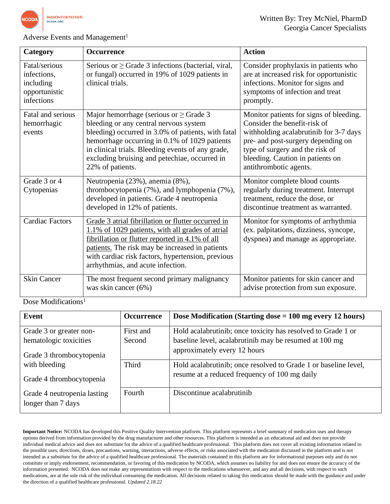

### Adverse Events and Management<sup>1</sup>

| Category                                                                 | <b>Occurrence</b>                                                                                                                                                                                                                                                                                                                                                                                                             | <b>Action</b>                                                                                                                                                                                                                                            |
|--------------------------------------------------------------------------|-------------------------------------------------------------------------------------------------------------------------------------------------------------------------------------------------------------------------------------------------------------------------------------------------------------------------------------------------------------------------------------------------------------------------------|----------------------------------------------------------------------------------------------------------------------------------------------------------------------------------------------------------------------------------------------------------|
| Fatal/serious<br>infections,<br>including<br>opportunistic<br>infections | Serious or $\geq$ Grade 3 infections (bacterial, viral,<br>or fungal) occurred in 19% of 1029 patients in<br>clinical trials.                                                                                                                                                                                                                                                                                                 | Consider prophylaxis in patients who<br>are at increased risk for opportunistic<br>infections. Monitor for signs and<br>symptoms of infection and treat<br>promptly.                                                                                     |
| Fatal and serious<br>hemorrhagic<br>events                               | Major hemorrhage (serious or $\geq$ Grade 3<br>bleeding or any central nervous system<br>bleeding) occurred in 3.0% of patients, with fatal<br>hemorrhage occurring in 0.1% of 1029 patients<br>in clinical trials. Bleeding events of any grade,<br>excluding bruising and petechiae, occurred in<br>22% of patients.                                                                                                        | Monitor patients for signs of bleeding.<br>Consider the benefit-risk of<br>withholding acalabrutinib for 3-7 days<br>pre- and post-surgery depending on<br>type of surgery and the risk of<br>bleeding. Caution in patients on<br>antithrombotic agents. |
| Grade 3 or 4<br>Cytopenias                                               | Neutropenia (23%), anemia (8%),<br>thrombocytopenia (7%), and lymphopenia (7%),<br>developed in patients. Grade 4 neutropenia<br>developed in 12% of patients.                                                                                                                                                                                                                                                                | Monitor complete blood counts<br>regularly during treatment. Interrupt<br>treatment, reduce the dose, or<br>discontinue treatment as warranted.                                                                                                          |
| <b>Cardiac Factors</b>                                                   | Grade 3 atrial fibrillation or flutter occurred in<br>Monitor for symptoms of arrhythmia<br>(ex. palpitations, dizziness, syncope,<br>1.1% of 1029 patients, with all grades of atrial<br>fibrillation or flutter reported in 4.1% of all<br>dyspnea) and manage as appropriate.<br>patients. The risk may be increased in patients<br>with cardiac risk factors, hypertension, previous<br>arrhythmias, and acute infection. |                                                                                                                                                                                                                                                          |
| <b>Skin Cancer</b>                                                       | The most frequent second primary malignancy<br>was skin cancer (6%)                                                                                                                                                                                                                                                                                                                                                           | Monitor patients for skin cancer and<br>advise protection from sun exposure.                                                                                                                                                                             |

Dose Modifications<sup>1</sup>

| Event                                             | <b>Occurrence</b> | Dose Modification (Starting dose $= 100$ mg every 12 hours)     |
|---------------------------------------------------|-------------------|-----------------------------------------------------------------|
| Grade 3 or greater non-                           | First and         | Hold acalabrutinib; once toxicity has resolved to Grade 1 or    |
| hematologic toxicities                            | Second            | baseline level, acalabrutinib may be resumed at 100 mg          |
| Grade 3 thrombocytopenia                          |                   | approximately every 12 hours                                    |
| with bleeding                                     | <b>Third</b>      | Hold acalabrutinib; once resolved to Grade 1 or baseline level, |
| Grade 4 thrombocytopenia                          |                   | resume at a reduced frequency of 100 mg daily                   |
| Grade 4 neutropenia lasting<br>longer than 7 days | Fourth            | Discontinue acalabrutinib                                       |

**Important Notice:** NCODA has developed this Positive Quality Intervention platform. This platform represents a brief summary of medication uses and therapy options derived from information provided by the drug manufacturer and other resources. This platform is intended as an educational aid and does not provide individual medical advice and does not substitute for the advice of a qualified healthcare professional. This platform does not cover all existing information related to the possible uses, directions, doses, precautions, warning, interactions, adverse effects, or risks associated with the medication discussed in the platform and is not intended as a substitute for the advice of a qualified healthcare professional. The materials contained in this platform are for informational purposes only and do not constitute or imply endorsement, recommendation, or favoring of this medication by NCODA, which assumes no liability for and does not ensure the accuracy of the information presented. NCODA does not make any representations with respect to the medications whatsoever, and any and all decisions, with respect to such medications, are at the sole risk of the individual consuming the medication. All decisions related to taking this medication should be made with the guidance and under the direction of a qualified healthcare professional. *Updated 2.18.22*